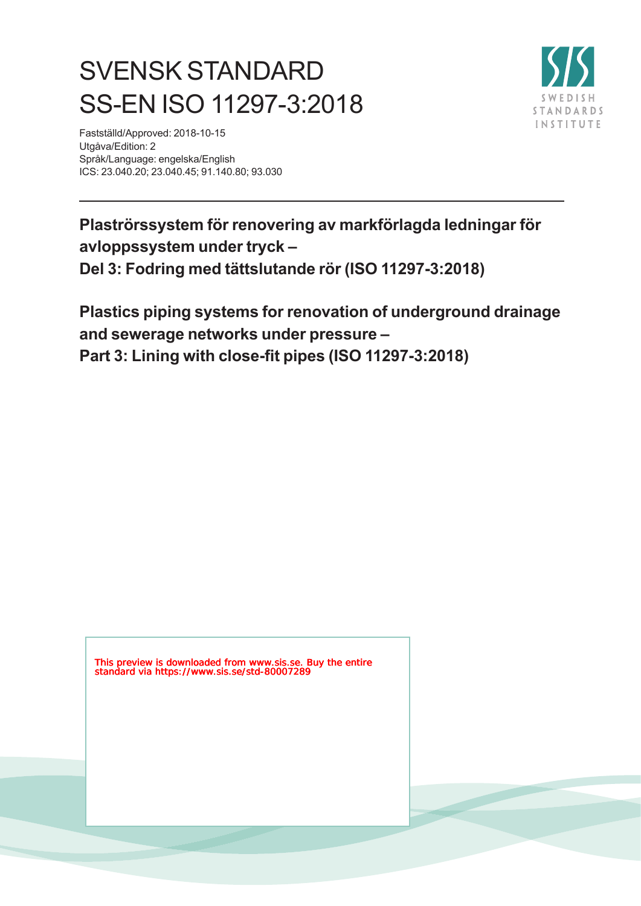# SVENSK STANDARD SS-EN ISO 11297-3:2018



Fastställd/Approved: 2018-10-15 Utgåva/Edition: 2 Språk/Language: engelska/English ICS: 23.040.20; 23.040.45; 91.140.80; 93.030

**Plaströrssystem för renovering av markförlagda ledningar för avloppssystem under tryck – Del 3: Fodring med tättslutande rör (ISO 11297‑3:2018)**

**Plastics piping systems for renovation of underground drainage and sewerage networks under pressure – Part 3: Lining with close-fit pipes (ISO 11297‑3:2018)**

This preview is downloaded from www.sis.se. Buy the entire standard via https://www.sis.se/std-80007289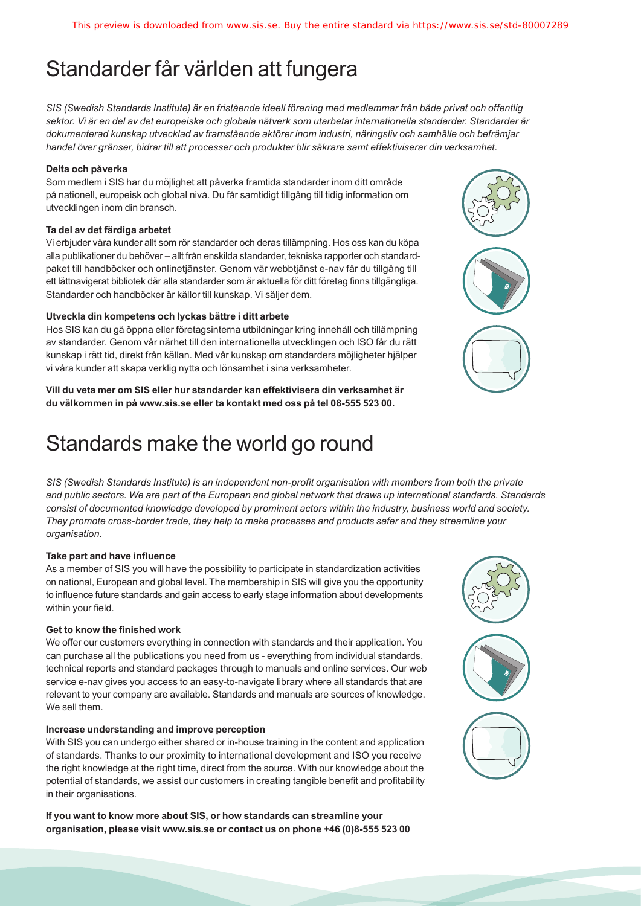# Standarder får världen att fungera

*SIS (Swedish Standards Institute) är en fristående ideell förening med medlemmar från både privat och offentlig sektor. Vi är en del av det europeiska och globala nätverk som utarbetar internationella standarder. Standarder är dokumenterad kunskap utvecklad av framstående aktörer inom industri, näringsliv och samhälle och befrämjar handel över gränser, bidrar till att processer och produkter blir säkrare samt effektiviserar din verksamhet.* 

#### **Delta och påverka**

Som medlem i SIS har du möjlighet att påverka framtida standarder inom ditt område på nationell, europeisk och global nivå. Du får samtidigt tillgång till tidig information om utvecklingen inom din bransch.

#### **Ta del av det färdiga arbetet**

Vi erbjuder våra kunder allt som rör standarder och deras tillämpning. Hos oss kan du köpa alla publikationer du behöver – allt från enskilda standarder, tekniska rapporter och standardpaket till handböcker och onlinetjänster. Genom vår webbtjänst e-nav får du tillgång till ett lättnavigerat bibliotek där alla standarder som är aktuella för ditt företag finns tillgängliga. Standarder och handböcker är källor till kunskap. Vi säljer dem.

#### **Utveckla din kompetens och lyckas bättre i ditt arbete**

Hos SIS kan du gå öppna eller företagsinterna utbildningar kring innehåll och tillämpning av standarder. Genom vår närhet till den internationella utvecklingen och ISO får du rätt kunskap i rätt tid, direkt från källan. Med vår kunskap om standarders möjligheter hjälper vi våra kunder att skapa verklig nytta och lönsamhet i sina verksamheter.

**Vill du veta mer om SIS eller hur standarder kan effektivisera din verksamhet är du välkommen in på www.sis.se eller ta kontakt med oss på tel 08-555 523 00.**

## Standards make the world go round

*SIS (Swedish Standards Institute) is an independent non-profit organisation with members from both the private and public sectors. We are part of the European and global network that draws up international standards. Standards consist of documented knowledge developed by prominent actors within the industry, business world and society. They promote cross-border trade, they help to make processes and products safer and they streamline your organisation.*

#### **Take part and have influence**

As a member of SIS you will have the possibility to participate in standardization activities on national, European and global level. The membership in SIS will give you the opportunity to influence future standards and gain access to early stage information about developments within your field.

#### **Get to know the finished work**

We offer our customers everything in connection with standards and their application. You can purchase all the publications you need from us - everything from individual standards, technical reports and standard packages through to manuals and online services. Our web service e-nav gives you access to an easy-to-navigate library where all standards that are relevant to your company are available. Standards and manuals are sources of knowledge. We sell them.

#### **Increase understanding and improve perception**

With SIS you can undergo either shared or in-house training in the content and application of standards. Thanks to our proximity to international development and ISO you receive the right knowledge at the right time, direct from the source. With our knowledge about the potential of standards, we assist our customers in creating tangible benefit and profitability in their organisations.

**If you want to know more about SIS, or how standards can streamline your organisation, please visit www.sis.se or contact us on phone +46 (0)8-555 523 00**



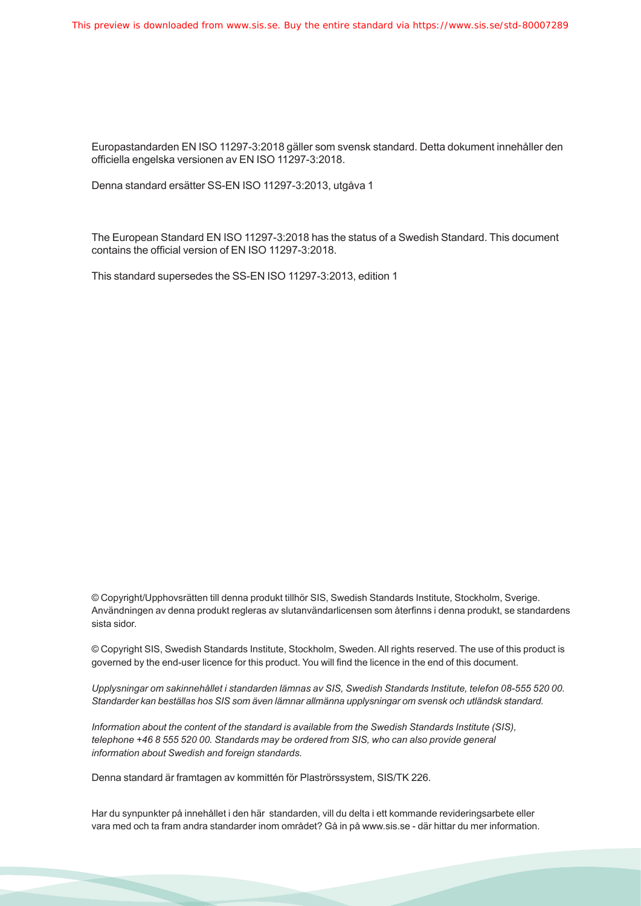Europastandarden EN ISO 11297-3:2018 gäller som svensk standard. Detta dokument innehåller den officiella engelska versionen av EN ISO 11297-3:2018.

Denna standard ersätter SS-EN ISO 11297-3:2013, utgåva 1

The European Standard EN ISO 11297-3:2018 has the status of a Swedish Standard. This document contains the official version of EN ISO 11297-3:2018.

This standard supersedes the SS-EN ISO 11297-3:2013, edition 1

© Copyright/Upphovsrätten till denna produkt tillhör SIS, Swedish Standards Institute, Stockholm, Sverige. Användningen av denna produkt regleras av slutanvändarlicensen som återfinns i denna produkt, se standardens sista sidor.

© Copyright SIS, Swedish Standards Institute, Stockholm, Sweden. All rights reserved. The use of this product is governed by the end-user licence for this product. You will find the licence in the end of this document.

*Upplysningar om sakinnehållet i standarden lämnas av SIS, Swedish Standards Institute, telefon 08-555 520 00. Standarder kan beställas hos SIS som även lämnar allmänna upplysningar om svensk och utländsk standard.*

*Information about the content of the standard is available from the Swedish Standards Institute (SIS), telephone +46 8 555 520 00. Standards may be ordered from SIS, who can also provide general information about Swedish and foreign standards.*

Denna standard är framtagen av kommittén för Plaströrssystem, SIS/TK 226.

Har du synpunkter på innehållet i den här standarden, vill du delta i ett kommande revideringsarbete eller vara med och ta fram andra standarder inom området? Gå in på www.sis.se - där hittar du mer information.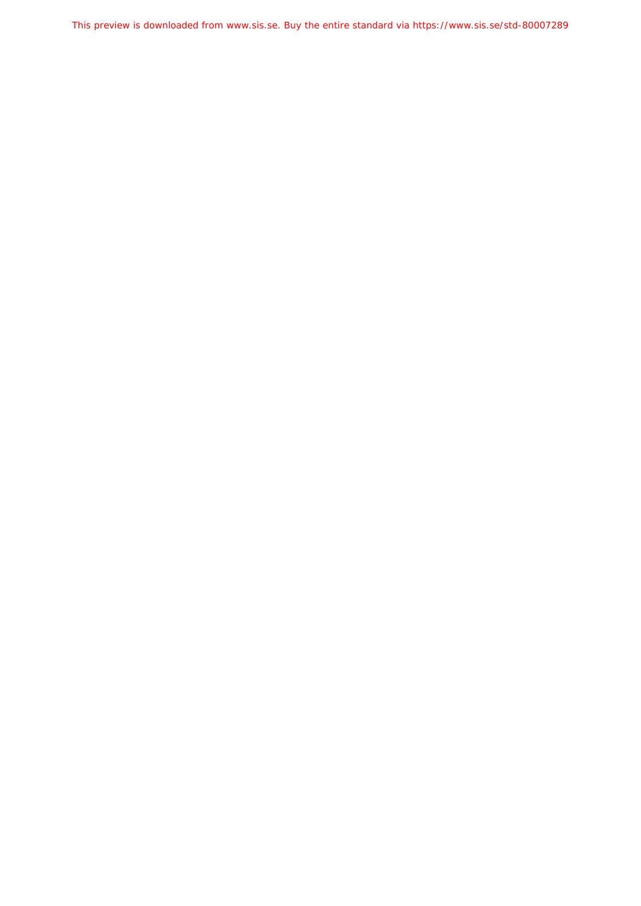This preview is downloaded from www.sis.se. Buy the entire standard via https://www.sis.se/std-80007289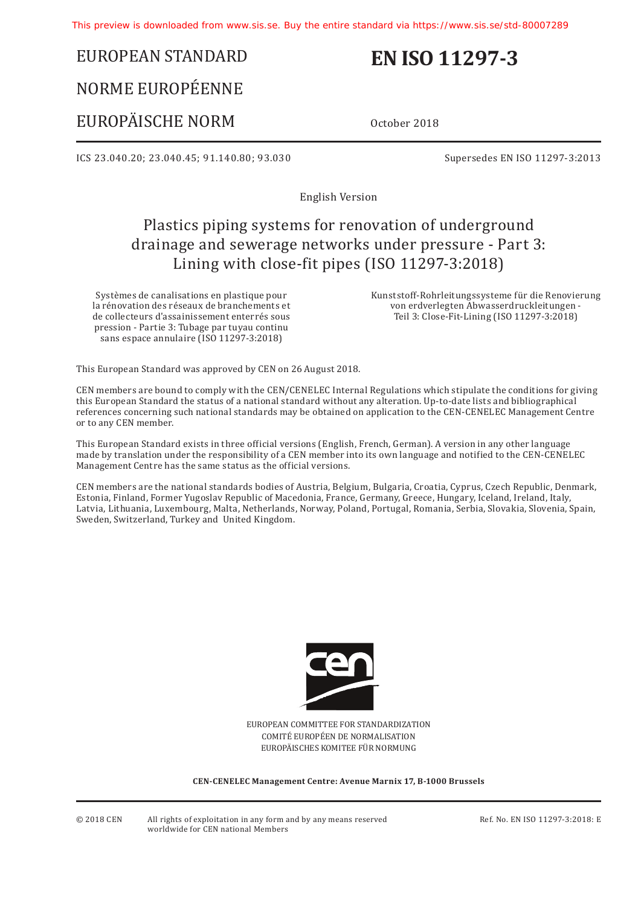This preview is downloaded from www.sis.se. Buy the entire standard via https://www.sis.se/std-80007289

#### EUROPEAN STANDARD

# **EN ISO 11297-3**

### NORME EUROPÉENNE

### EUROPÄISCHE NORM

October 2018

ICS 23.040.20; 23.040.45; 91.140.80; 93.030 Supersedes EN ISO 11297-3:2013

English Version

### Plastics piping systems for renovation of underground drainage and sewerage networks under pressure - Part 3: Lining with close-fit pipes (ISO 11297-3:2018)

Systèmes de canalisations en plastique pour la rénovation des réseaux de branchements et de collecteurs d'assainissement enterrés sous pression - Partie 3: Tubage par tuyau continu sans espace annulaire (ISO 11297-3:2018)

Kunststoff-Rohrleitungssysteme für die Renovierung von erdverlegten Abwasserdruckleitungen - Teil 3: Close-Fit-Lining (ISO 11297-3:2018)

This European Standard was approved by CEN on 26 August 2018.

CEN members are bound to comply with the CEN/CENELEC Internal Regulations which stipulate the conditions for giving this European Standard the status of a national standard without any alteration. Up-to-date lists and bibliographical references concerning such national standards may be obtained on application to the CEN-CENELEC Management Centre or to any CEN member.

This European Standard exists in three official versions (English, French, German). A version in any other language made by translation under the responsibility of a CEN member into its own language and notified to the CEN-CENELEC Management Centre has the same status as the official versions.

CEN members are the national standards bodies of Austria, Belgium, Bulgaria, Croatia, Cyprus, Czech Republic, Denmark, Estonia, Finland, Former Yugoslav Republic of Macedonia, France, Germany, Greece, Hungary, Iceland, Ireland, Italy, Latvia, Lithuania, Luxembourg, Malta, Netherlands, Norway, Poland, Portugal, Romania, Serbia, Slovakia, Slovenia, Spain, Sweden, Switzerland, Turkey and United Kingdom.



EUROPEAN COMMITTEE FOR STANDARDIZATION COMITÉ EUROPÉEN DE NORMALISATION EUROPÄISCHES KOMITEE FÜR NORMUNG

**CEN-CENELEC Management Centre: Avenue Marnix 17, B-1000 Brussels**

© 2018 CEN All rights of exploitation in any form and by any means reserved Ref. No. EN ISO 11297-3:2018: E worldwide for CEN national Members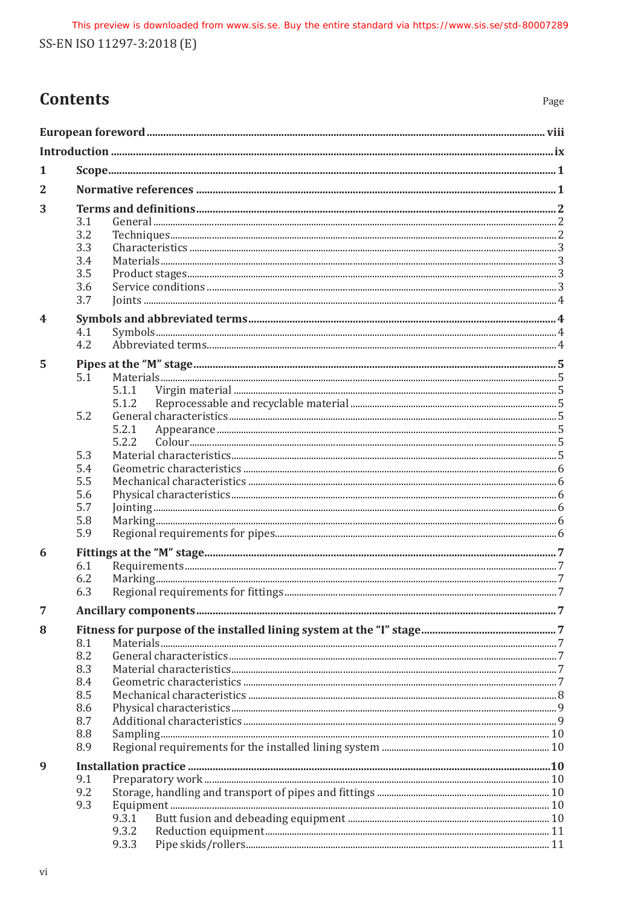### **Contents**

| . .<br>۹<br>×<br>v<br>× |
|-------------------------|
|-------------------------|

| 1            |            |       |  |  |  |  |
|--------------|------------|-------|--|--|--|--|
| $\mathbf{2}$ |            |       |  |  |  |  |
| 3            |            |       |  |  |  |  |
|              | 3.1        |       |  |  |  |  |
|              | 3.2        |       |  |  |  |  |
|              | 3.3        |       |  |  |  |  |
|              | 3.4        |       |  |  |  |  |
|              | 3.5        |       |  |  |  |  |
|              | 3.6<br>3.7 |       |  |  |  |  |
| 4            |            |       |  |  |  |  |
|              | 4.1        |       |  |  |  |  |
|              | 4.2        |       |  |  |  |  |
| 5            |            |       |  |  |  |  |
|              | 5.1        |       |  |  |  |  |
|              |            | 5.1.1 |  |  |  |  |
|              |            | 5.1.2 |  |  |  |  |
|              | 5.2        |       |  |  |  |  |
|              |            | 5.2.1 |  |  |  |  |
|              |            | 5.2.2 |  |  |  |  |
|              | 5.3        |       |  |  |  |  |
|              | 5.4        |       |  |  |  |  |
|              | 5.5        |       |  |  |  |  |
|              | 5.6        |       |  |  |  |  |
|              | 5.7        |       |  |  |  |  |
|              | 5.8<br>5.9 |       |  |  |  |  |
|              |            |       |  |  |  |  |
| 6            |            |       |  |  |  |  |
|              | 6.1<br>6.2 |       |  |  |  |  |
|              | 6.3        |       |  |  |  |  |
|              |            |       |  |  |  |  |
| 7            |            |       |  |  |  |  |
| 8            |            |       |  |  |  |  |
|              | 8.1        |       |  |  |  |  |
|              | 8.2<br>8.3 |       |  |  |  |  |
|              | 8.4        |       |  |  |  |  |
|              | 8.5        |       |  |  |  |  |
|              | 8.6        |       |  |  |  |  |
|              | 8.7        |       |  |  |  |  |
|              | 8.8        |       |  |  |  |  |
|              | 8.9        |       |  |  |  |  |
| 9            |            |       |  |  |  |  |
|              | 9.1        |       |  |  |  |  |
|              | 9.2        |       |  |  |  |  |
|              | 9.3        |       |  |  |  |  |
|              |            | 9.3.1 |  |  |  |  |
|              |            | 9.3.2 |  |  |  |  |
|              |            | 9.3.3 |  |  |  |  |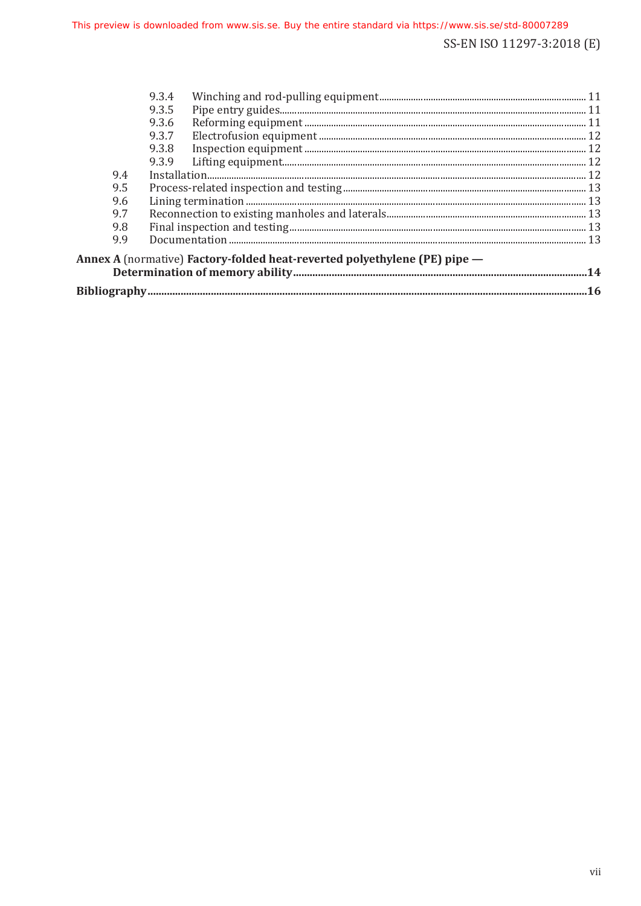|                                                                           | 9.3.4                                                                                                                                                                                                                                                                                                                                                                                                                                                                                                                                                                |  |  |  |  |
|---------------------------------------------------------------------------|----------------------------------------------------------------------------------------------------------------------------------------------------------------------------------------------------------------------------------------------------------------------------------------------------------------------------------------------------------------------------------------------------------------------------------------------------------------------------------------------------------------------------------------------------------------------|--|--|--|--|
|                                                                           | $\begin{minipage}{0.9\linewidth} \textbf{Window and rod-pulling equipment} \end{minipage} \vspace{-.5cm} \begin{minipage}{0.9\linewidth} \textbf{Type entry guides} \end{minipage} \vspace{-.5cm} \begin{minipage}{0.9\linewidth} \textbf{Number of the two different values} \end{minipage} \vspace{-.5cm} \begin{minipage}{0.9\linewidth} \textbf{Figure 11} \end{minipage} \vspace{-.5cm} \begin{minipage}{0.9\linewidth} \textbf{Output} \end{minipage} \vspace{-.5cm} \begin{minipage}{0.9\linewidth} \textbf{Output} \end{minipage} \vspace{-.5cm} \$<br>9.3.5 |  |  |  |  |
|                                                                           | 9.3.6                                                                                                                                                                                                                                                                                                                                                                                                                                                                                                                                                                |  |  |  |  |
|                                                                           | 9.3.7                                                                                                                                                                                                                                                                                                                                                                                                                                                                                                                                                                |  |  |  |  |
|                                                                           | 9.3.8                                                                                                                                                                                                                                                                                                                                                                                                                                                                                                                                                                |  |  |  |  |
|                                                                           | 9.3.9                                                                                                                                                                                                                                                                                                                                                                                                                                                                                                                                                                |  |  |  |  |
| 9.4                                                                       |                                                                                                                                                                                                                                                                                                                                                                                                                                                                                                                                                                      |  |  |  |  |
| 9.5                                                                       |                                                                                                                                                                                                                                                                                                                                                                                                                                                                                                                                                                      |  |  |  |  |
| 9.6                                                                       |                                                                                                                                                                                                                                                                                                                                                                                                                                                                                                                                                                      |  |  |  |  |
| 9.7                                                                       |                                                                                                                                                                                                                                                                                                                                                                                                                                                                                                                                                                      |  |  |  |  |
| 9.8                                                                       |                                                                                                                                                                                                                                                                                                                                                                                                                                                                                                                                                                      |  |  |  |  |
| 9.9                                                                       |                                                                                                                                                                                                                                                                                                                                                                                                                                                                                                                                                                      |  |  |  |  |
| Annex A (normative) Factory-folded heat-reverted polyethylene (PE) pipe - |                                                                                                                                                                                                                                                                                                                                                                                                                                                                                                                                                                      |  |  |  |  |
|                                                                           |                                                                                                                                                                                                                                                                                                                                                                                                                                                                                                                                                                      |  |  |  |  |
|                                                                           |                                                                                                                                                                                                                                                                                                                                                                                                                                                                                                                                                                      |  |  |  |  |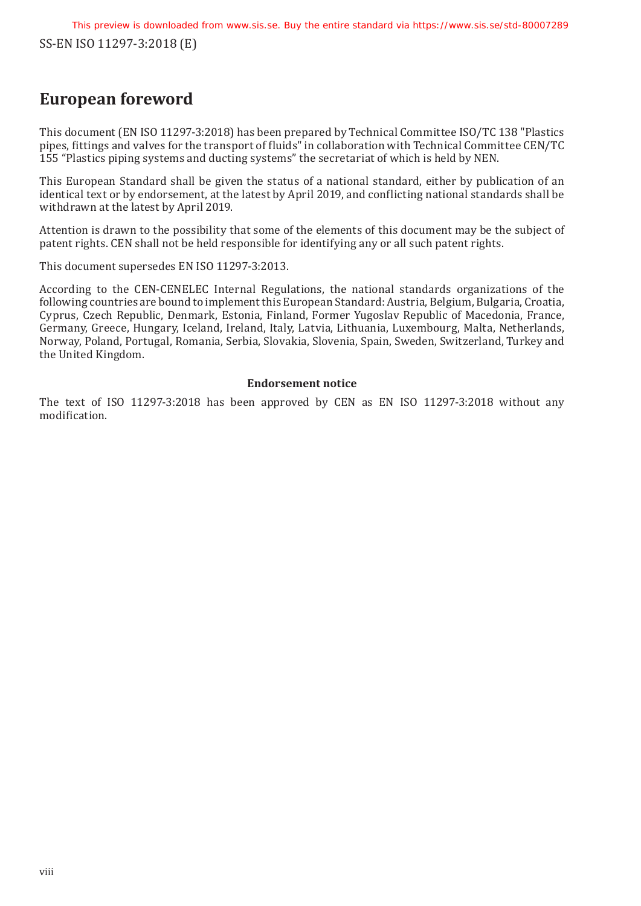### **European foreword**

This document (EN ISO 11297-3:2018) has been prepared by Technical Committee ISO/TC 138 "Plastics pipes, fittings and valves for the transport of fluids" in collaboration with Technical Committee CEN/TC 155 "Plastics piping systems and ducting systems" the secretariat of which is held by NEN.

This European Standard shall be given the status of a national standard, either by publication of an identical text or by endorsement, at the latest by April 2019, and conflicting national standards shall be withdrawn at the latest by April 2019.

Attention is drawn to the possibility that some of the elements of this document may be the subject of patent rights. CEN shall not be held responsible for identifying any or all such patent rights.

This document supersedes EN ISO 11297-3:2013.

According to the CEN-CENELEC Internal Regulations, the national standards organizations of the following countries are bound to implement this European Standard: Austria, Belgium, Bulgaria, Croatia, Cyprus, Czech Republic, Denmark, Estonia, Finland, Former Yugoslav Republic of Macedonia, France, Germany, Greece, Hungary, Iceland, Ireland, Italy, Latvia, Lithuania, Luxembourg, Malta, Netherlands, Norway, Poland, Portugal, Romania, Serbia, Slovakia, Slovenia, Spain, Sweden, Switzerland, Turkey and the United Kingdom.

#### **Endorsement notice**

The text of ISO 11297-3:2018 has been approved by CEN as EN ISO 11297-3:2018 without any modification.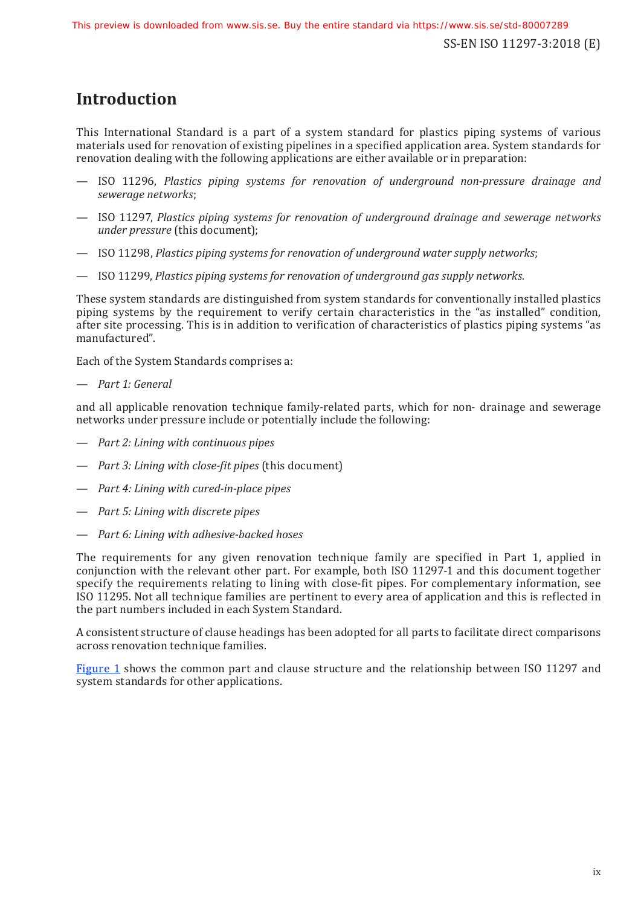### **Introduction**

This International Standard is a part of a system standard for plastics piping systems of various materials used for renovation of existing pipelines in a specified application area. System standards for renovation dealing with the following applications are either available or in preparation:

- ISO 11296, *Plastics piping systems for renovation of underground non-pressure drainage and sewerage networks*;
- ISO 11297, *Plastics piping systems for renovation of underground drainage and sewerage networks under pressure* (this document);
- ISO 11298, *Plastics piping systems for renovation of underground water supply networks*;
- ISO 11299, *Plastics piping systems for renovation of underground gas supply networks.*

These system standards are distinguished from system standards for conventionally installed plastics piping systems by the requirement to verify certain characteristics in the "as installed" condition, after site processing. This is in addition to verification of characteristics of plastics piping systems "as manufactured".

Each of the System Standards comprises a:

— *Part 1: General*

and all applicable renovation technique family-related parts, which for non- drainage and sewerage networks under pressure include or potentially include the following:

- *Part 2: Lining with continuous pipes*
- *Part 3: Lining with close-fit pipes* (this document)
- *Part 4: Lining with cured-in-place pipes*
- *Part 5: Lining with discrete pipes*
- *Part 6: Lining with adhesive-backed hoses*

The requirements for any given renovation technique family are specified in Part 1, applied in conjunction with the relevant other part. For example, both ISO 11297-1 and this document together specify the requirements relating to lining with close-fit pipes. For complementary information, see ISO 11295. Not all technique families are pertinent to every area of application and this is reflected in the part numbers included in each System Standard.

A consistent structure of clause headings has been adopted for all parts to facilitate direct comparisons across renovation technique families.

Figure 1 shows the common part and clause structure and the relationship between ISO 11297 and system standards for other applications.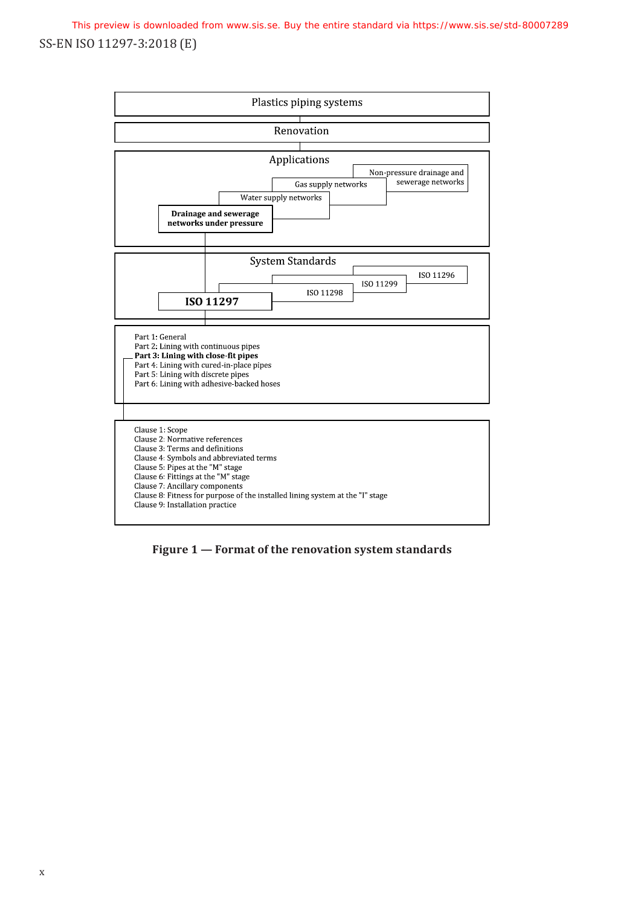SS-EN ISO 11297-3:2018 (E) This preview is downloaded from www.sis.se. Buy the entire standard via https://www.sis.se/std-80007289



**Figure 1 — Format of the renovation system standards**